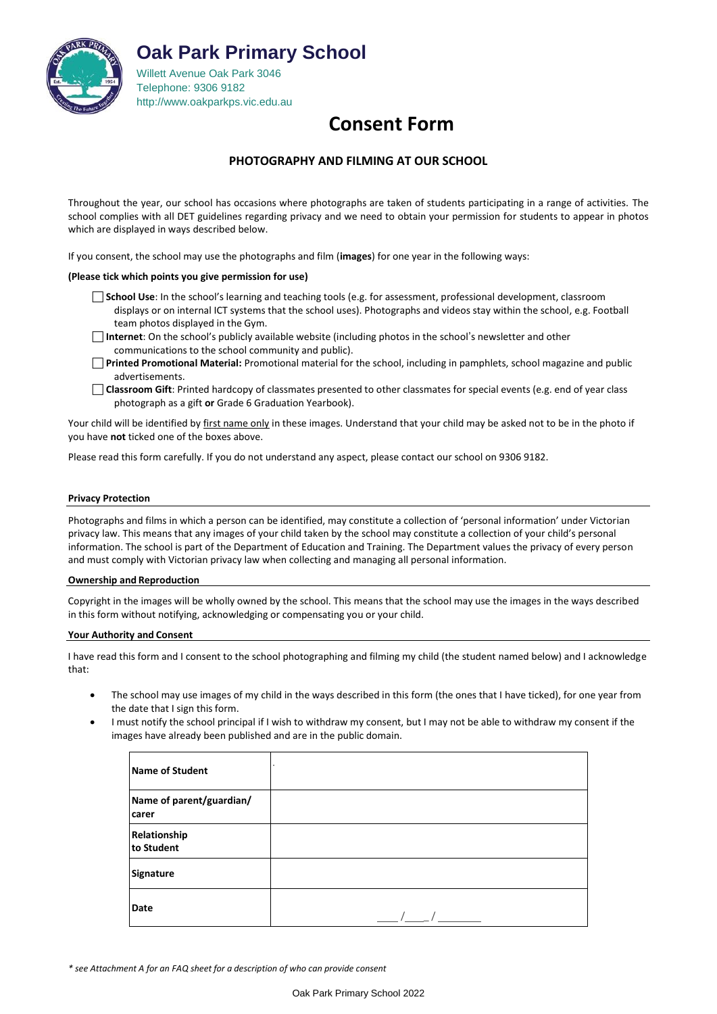

**Oak Park Primary School**

Willett Avenue Oak Park 3046 Telephone: 9306 918[2](http://www.oakparkps.vic.edu.au/) [http://www.oakparkps.vic.edu.au](http://www.oakparkps.vic.edu.au/)

# **Consent Form**

# **PHOTOGRAPHY AND FILMING AT OUR SCHOOL**

Throughout the year, our school has occasions where photographs are taken of students participating in a range of activities. The school complies with all DET guidelines regarding privacy and we need to obtain your permission for students to appear in photos which are displayed in ways described below.

If you consent, the school may use the photographs and film (**images**) for one year in the following ways:

# **(Please tick which points you give permission for use)**

- **School Use**: In the school's learning and teaching tools (e.g. for assessment, professional development, classroom displays or on internal ICT systems that the school uses). Photographs and videos stay within the school, e.g. Football team photos displayed in the Gym.
- **Internet**: On the school's publicly available website (including photos in the school's newsletter and other communications to the school community and public).
- **Printed Promotional Material:** Promotional material for the school, including in pamphlets, school magazine and public advertisements.
- **Classroom Gift**: Printed hardcopy of classmates presented to other classmates for special events (e.g. end of year class photograph as a gift **or** Grade 6 Graduation Yearbook).

Your child will be identified by first name only in these images. Understand that your child may be asked not to be in the photo if you have **not** ticked one of the boxes above.

Please read this form carefully. If you do not understand any aspect, please contact our school on 9306 9182.

## **Privacy Protection**

Photographs and films in which a person can be identified, may constitute a collection of 'personal information' under Victorian privacy law. This means that any images of your child taken by the school may constitute a collection of your child's personal information. The school is part of the Department of Education and Training. The Department values the privacy of every person and must comply with Victorian privacy law when collecting and managing all personal information.

## **Ownership and Reproduction**

Copyright in the images will be wholly owned by the school. This means that the school may use the images in the ways described in this form without notifying, acknowledging or compensating you or your child.

## **Your Authority and Consent**

I have read this form and I consent to the school photographing and filming my child (the student named below) and I acknowledge that:

- The school may use images of my child in the ways described in this form (the ones that I have ticked), for one year from the date that I sign this form.
- I must notify the school principal if I wish to withdraw my consent, but I may not be able to withdraw my consent if the images have already been published and are in the public domain.

| Name of Student                   |  |
|-----------------------------------|--|
| Name of parent/guardian/<br>carer |  |
| Relationship<br>to Student        |  |
| Signature                         |  |
| Date                              |  |

*\* see Attachment A for an FAQ sheet for a description of who can provide consent*